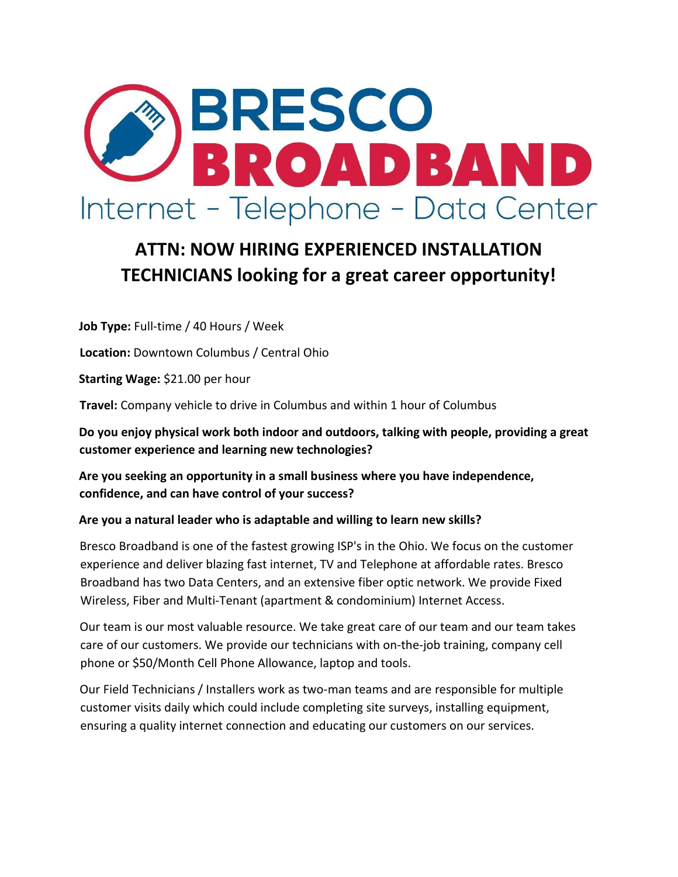

# **ATTN: NOW HIRING EXPERIENCED INSTALLATION TECHNICIANS looking for a great career opportunity!**

**Job Type:** Full-time / 40 Hours / Week

**Location:** Downtown Columbus / Central Ohio

**Starting Wage:** \$21.00 per hour

**Travel:** Company vehicle to drive in Columbus and within 1 hour of Columbus

**Do you enjoy physical work both indoor and outdoors, talking with people, providing a great customer experience and learning new technologies?** 

**Are you seeking an opportunity in a small business where you have independence, confidence, and can have control of your success?** 

### **Are you a natural leader who is adaptable and willing to learn new skills?**

Bresco Broadband is one of the fastest growing ISP's in the Ohio. We focus on the customer experience and deliver blazing fast internet, TV and Telephone at affordable rates. Bresco Broadband has two Data Centers, and an extensive fiber optic network. We provide Fixed Wireless, Fiber and Multi-Tenant (apartment & condominium) Internet Access.

Our team is our most valuable resource. We take great care of our team and our team takes care of our customers. We provide our technicians with on-the-job training, company cell phone or \$50/Month Cell Phone Allowance, laptop and tools.

Our Field Technicians / Installers work as two-man teams and are responsible for multiple customer visits daily which could include completing site surveys, installing equipment, ensuring a quality internet connection and educating our customers on our services.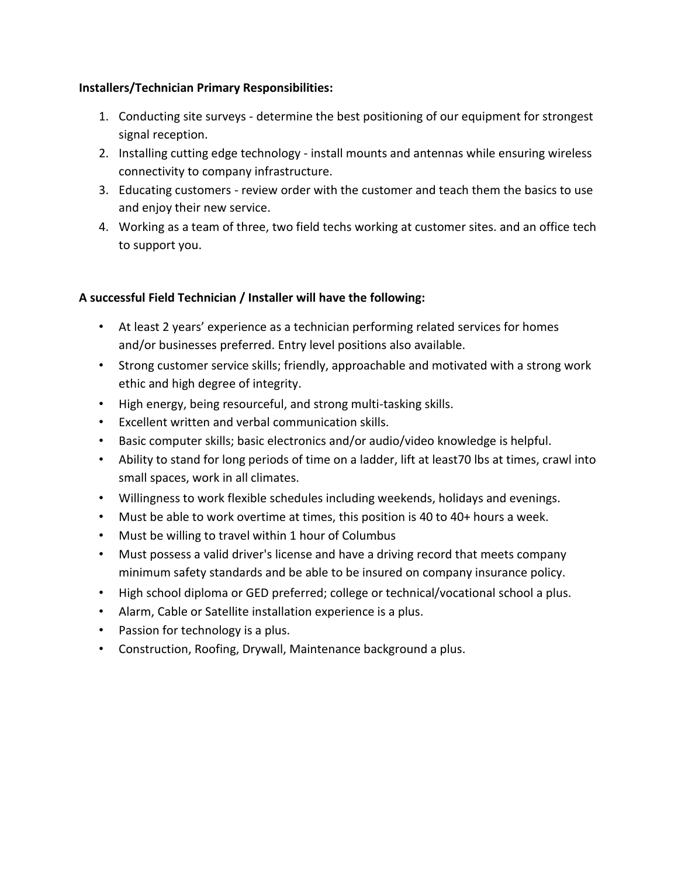## **Installers/Technician Primary Responsibilities:**

- 1. Conducting site surveys determine the best positioning of our equipment for strongest signal reception.
- 2. Installing cutting edge technology install mounts and antennas while ensuring wireless connectivity to company infrastructure.
- 3. Educating customers review order with the customer and teach them the basics to use and enjoy their new service.
- 4. Working as a team of three, two field techs working at customer sites. and an office tech to support you.

# **A successful Field Technician / Installer will have the following:**

- At least 2 years' experience as a technician performing related services for homes and/or businesses preferred. Entry level positions also available.
- Strong customer service skills; friendly, approachable and motivated with a strong work ethic and high degree of integrity.
- High energy, being resourceful, and strong multi-tasking skills.
- Excellent written and verbal communication skills.
- Basic computer skills; basic electronics and/or audio/video knowledge is helpful.
- Ability to stand for long periods of time on a ladder, lift at least70 lbs at times, crawl into small spaces, work in all climates.
- Willingness to work flexible schedules including weekends, holidays and evenings.
- Must be able to work overtime at times, this position is 40 to 40+ hours a week.
- Must be willing to travel within 1 hour of Columbus
- Must possess a valid driver's license and have a driving record that meets company minimum safety standards and be able to be insured on company insurance policy.
- High school diploma or GED preferred; college or technical/vocational school a plus.
- Alarm, Cable or Satellite installation experience is a plus.
- Passion for technology is a plus.
- Construction, Roofing, Drywall, Maintenance background a plus.